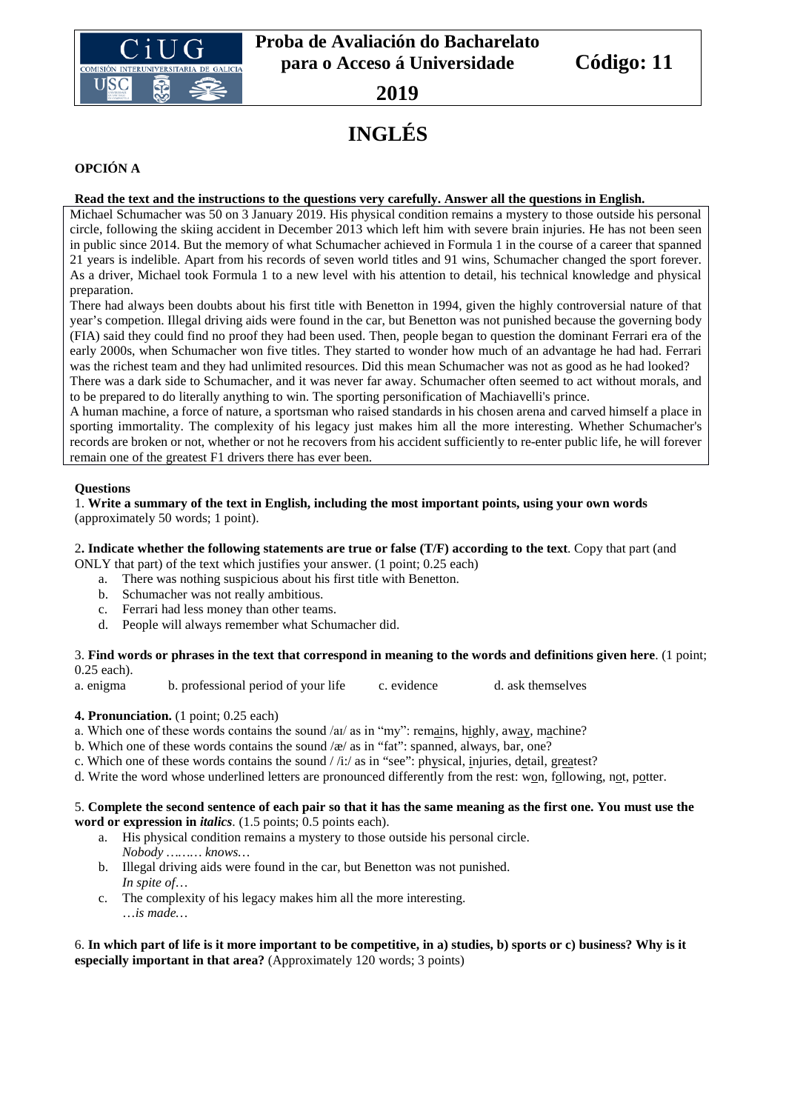

# **INGLÉS**

#### **OPCIÓN A**

#### **Read the text and the instructions to the questions very carefully. Answer all the questions in English.**

Michael Schumacher was 50 on 3 January 2019. His physical condition remains a mystery to those outside his personal circle, following the skiing accident in December 2013 which left him with severe brain injuries. He has not been seen in public since 2014. But the memory of what Schumacher achieved in Formula 1 in the course of a career that spanned 21 years is indelible. Apart from his records of seven world titles and 91 wins, Schumacher changed the sport forever. As a driver, Michael took Formula 1 to a new level with his attention to detail, his technical knowledge and physical preparation.

There had always been doubts about his first title with Benetton in 1994, given the highly controversial nature of that year's competion. Illegal driving aids were found in the car, but Benetton was not punished because the governing body (FIA) said they could find no proof they had been used. Then, people began to question the dominant Ferrari era of the early 2000s, when Schumacher won five titles. They started to wonder how much of an advantage he had had. Ferrari was the richest team and they had unlimited resources. Did this mean Schumacher was not as good as he had looked?

There was a dark side to Schumacher, and it was never far away. Schumacher often seemed to act without morals, and to be prepared to do literally anything to win. The sporting personification of Machiavelli's prince.

A human machine, a force of nature, a sportsman who raised standards in his chosen arena and carved himself a place in sporting immortality. The complexity of his legacy just makes him all the more interesting. Whether Schumacher's records are broken or not, whether or not he recovers from his accident sufficiently to re-enter public life, he will forever remain one of the greatest F1 drivers there has ever been.

#### **Questions**

1. **Write a summary of the text in English, including the most important points, using your own words** (approximately 50 words; 1 point).

#### 2**. Indicate whether the following statements are true or false (T/F) according to the text**. Copy that part (and

ONLY that part) of the text which justifies your answer. (1 point; 0.25 each)

- a. There was nothing suspicious about his first title with Benetton.
- b. Schumacher was not really ambitious.
- c. Ferrari had less money than other teams.
- d. People will always remember what Schumacher did.

#### 3. **Find words or phrases in the text that correspond in meaning to the words and definitions given here**. (1 point; 0.25 each).

a. enigma b. professional period of your life c. evidence d. ask themselves

#### **4. Pronunciation.** (1 point; 0.25 each)

- a. Which one of these words contains the sound  $\langle a \cdot a \cdot b \cdot \cdot \cdot \cdot \rangle$  remains, highly, away, machine?
- b. Which one of these words contains the sound /æ/ as in "fat": spanned, always, bar, one?
- c. Which one of these words contains the sound / /i:/ as in "see": physical, injuries, detail, greatest?
- d. Write the word whose underlined letters are pronounced differently from the rest: won, following, not, potter.

#### 5. **Complete the second sentence of each pair so that it has the same meaning as the first one. You must use the word or expression in** *italics*. (1.5 points; 0.5 points each).

- a. His physical condition remains a mystery to those outside his personal circle. *Nobody ……… knows…*
- b. Illegal driving aids were found in the car, but Benetton was not punished. *In spite of*…
- c. The complexity of his legacy makes him all the more interesting. …*is made…*

#### 6. **In which part of life is it more important to be competitive, in a) studies, b) sports or c) business? Why is it especially important in that area?** (Approximately 120 words; 3 points)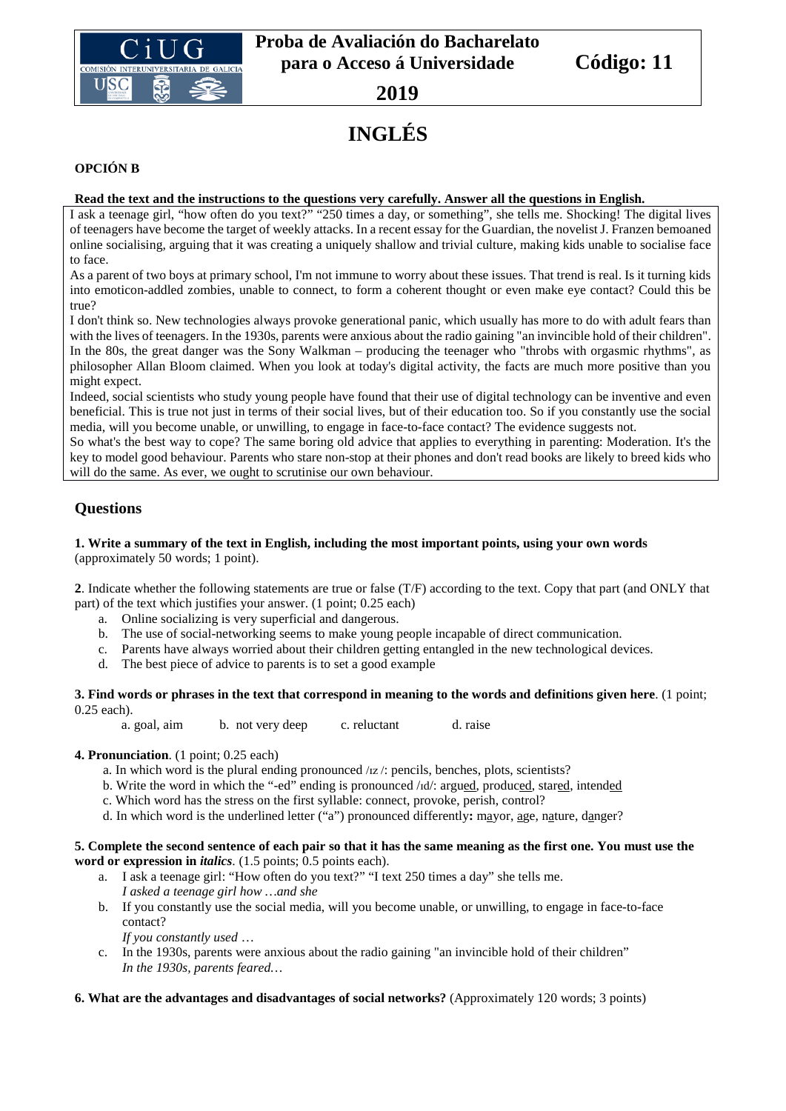

# **INGLÉS**

#### **OPCIÓN B**

#### **Read the text and the instructions to the questions very carefully. Answer all the questions in English.**

I ask a teenage girl, "how often do you text?" "250 times a day, or something", she tells me. Shocking! The digital lives of teenagers have become the target of weekly attacks. In a recent essay for the Guardian, the novelist J. Franzen bemoaned online socialising, arguing that it was creating a uniquely shallow and trivial culture, making kids unable to socialise face to face.

As a parent of two boys at primary school, I'm not immune to worry about these issues. That trend is real. Is it turning kids into emoticon-addled zombies, unable to connect, to form a coherent thought or even make eye contact? Could this be true?

I don't think so. New technologies always provoke generational panic, which usually has more to do with adult fears than with the lives of teenagers. In the 1930s, parents were anxious about the radio gaining "an invincible hold of their children". In the 80s, the great danger was the Sony Walkman – producing the teenager who "throbs with orgasmic rhythms", as philosopher Allan Bloom claimed. When you look at today's digital activity, the facts are much more positive than you might expect.

Indeed, social scientists who study young people have found that their use of digital technology can be inventive and even beneficial. This is true not just in terms of their social lives, but of their education too. So if you constantly use the social media, will you become unable, or unwilling, to engage in face-to-face contact? The evidence suggests not.

So what's the best way to cope? The same boring old advice that applies to everything in parenting: Moderation. It's the key to model good behaviour. Parents who stare non-stop at their phones and don't read books are likely to breed kids who will do the same. As ever, we ought to scrutinise our own behaviour.

#### **Questions**

#### **1. Write a summary of the text in English, including the most important points, using your own words** (approximately 50 words; 1 point).

**2**. Indicate whether the following statements are true or false (T/F) according to the text. Copy that part (and ONLY that part) of the text which justifies your answer. (1 point; 0.25 each)

- a. Online socializing is very superficial and dangerous.
- b. The use of social-networking seems to make young people incapable of direct communication.
- c. Parents have always worried about their children getting entangled in the new technological devices.
- d. The best piece of advice to parents is to set a good example

#### **3. Find words or phrases in the text that correspond in meaning to the words and definitions given here**. (1 point; 0.25 each).

a. goal, aim b. not very deep c. reluctant d. raise

#### **4. Pronunciation**. (1 point; 0.25 each)

- a. In which word is the plural ending pronounced /ɪz /: pencils, benches, plots, scientists?
- b. Write the word in which the "-ed" ending is pronounced /ɪd/: argued, produced, stared, intended
- c. Which word has the stress on the first syllable: connect, provoke, perish, control?
- d. In which word is the underlined letter ("a") pronounced differently**:** mayor, age, nature, danger?

#### **5. Complete the second sentence of each pair so that it has the same meaning as the first one. You must use the word or expression in** *italics*. (1.5 points; 0.5 points each).

- a. I ask a teenage girl: "How often do you text?" "I text 250 times a day" she tells me. *I asked a teenage girl how …and she*
- b. If you constantly use the social media, will you become unable, or unwilling, to engage in face-to-face contact?

*If you constantly used* …

c. In the 1930s, parents were anxious about the radio gaining "an invincible hold of their children" *In the 1930s, parents feared…*

#### **6. What are the advantages and disadvantages of social networks?** (Approximately 120 words; 3 points)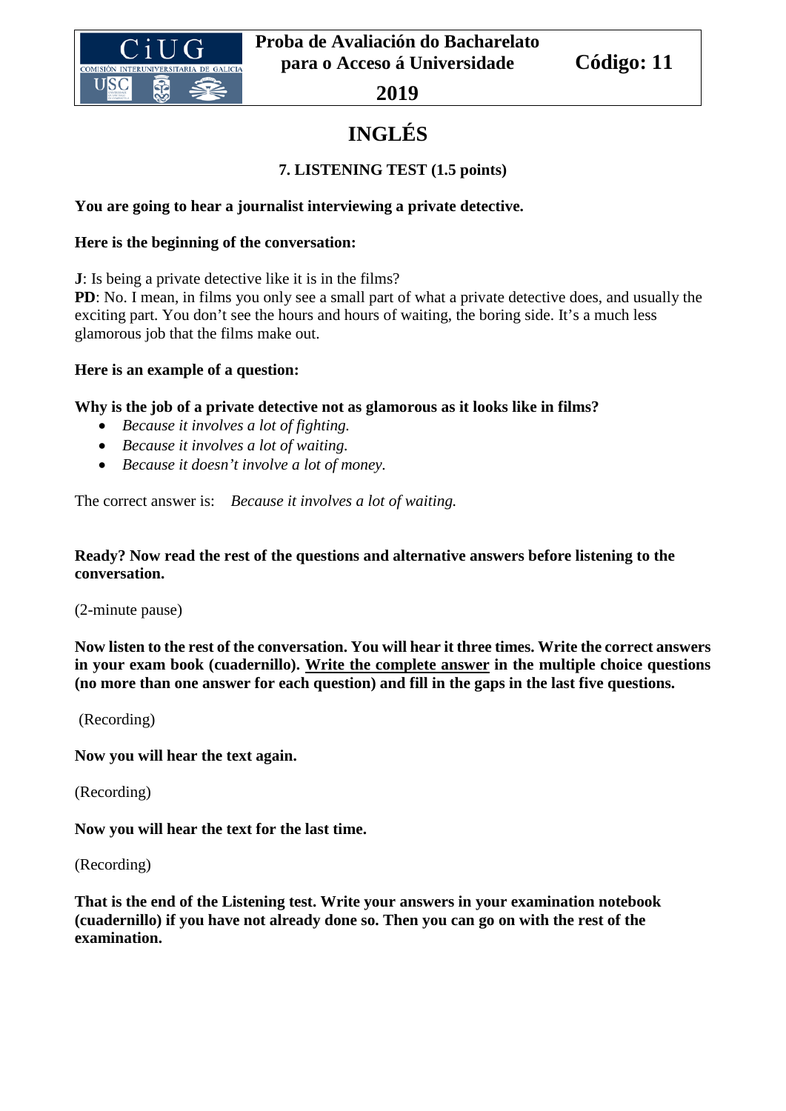

# **INGLÉS**

## **7. LISTENING TEST (1.5 points)**

## **You are going to hear a journalist interviewing a private detective.**

## **Here is the beginning of the conversation:**

**J**: Is being a private detective like it is in the films?

**PD**: No. I mean, in films you only see a small part of what a private detective does, and usually the exciting part. You don't see the hours and hours of waiting, the boring side. It's a much less glamorous job that the films make out.

### **Here is an example of a question:**

## **Why is the job of a private detective not as glamorous as it looks like in films?**

- *Because it involves a lot of fighting.*
- *Because it involves a lot of waiting.*
- *Because it doesn't involve a lot of money.*

The correct answer is: *Because it involves a lot of waiting.*

### **Ready? Now read the rest of the questions and alternative answers before listening to the conversation.**

(2-minute pause)

**Now listen to the rest of the conversation. You will hear it three times. Write the correct answers in your exam book (cuadernillo). Write the complete answer in the multiple choice questions (no more than one answer for each question) and fill in the gaps in the last five questions.**

(Recording)

**Now you will hear the text again.** 

(Recording)

**Now you will hear the text for the last time.** 

(Recording)

**That is the end of the Listening test. Write your answers in your examination notebook (cuadernillo) if you have not already done so. Then you can go on with the rest of the examination.**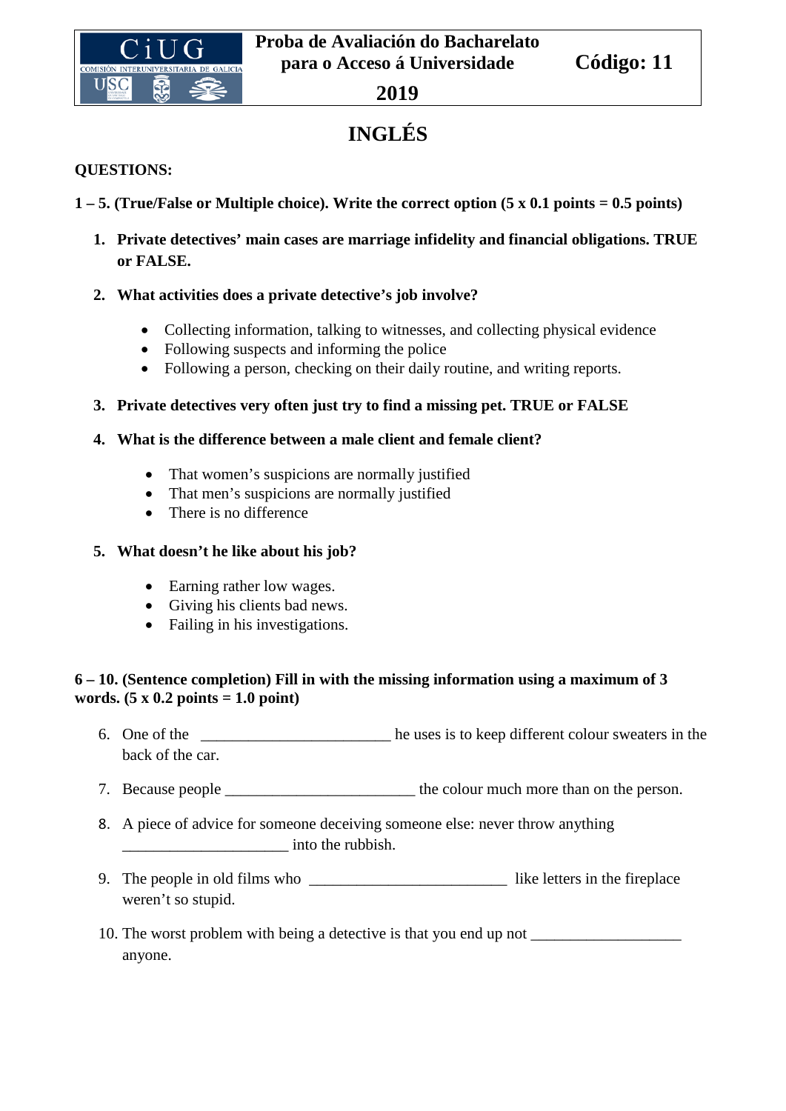

# **INGLÉS**

## **QUESTIONS:**

- **1 – 5. (True/False or Multiple choice). Write the correct option (5 x 0.1 points = 0.5 points)** 
	- **1. Private detectives' main cases are marriage infidelity and financial obligations. TRUE or FALSE.**

## **2. What activities does a private detective's job involve?**

- Collecting information, talking to witnesses, and collecting physical evidence
- Following suspects and informing the police
- Following a person, checking on their daily routine, and writing reports.
- **3. Private detectives very often just try to find a missing pet. TRUE or FALSE**

## **4. What is the difference between a male client and female client?**

- That women's suspicions are normally justified
- That men's suspicions are normally justified
- There is no difference

## **5. What doesn't he like about his job?**

- Earning rather low wages.
- Giving his clients bad news.
- Failing in his investigations.

## **6 – 10. (Sentence completion) Fill in with the missing information using a maximum of 3 words. (5 x 0.2 points = 1.0 point)**

- 6. One of the he uses is to keep different colour sweaters in the back of the car.
- 7. Because people the colour much more than on the person.
- 8. A piece of advice for someone deceiving someone else: never throw anything \_\_\_\_\_\_\_\_\_\_\_\_\_\_\_\_\_\_\_\_\_ into the rubbish.
- 9. The people in old films who \_\_\_\_\_\_\_\_\_\_\_\_\_\_\_\_\_\_\_\_\_\_\_\_\_ like letters in the fireplace weren't so stupid.
- 10. The worst problem with being a detective is that you end up not \_\_\_\_\_\_\_\_\_\_\_\_\_ anyone.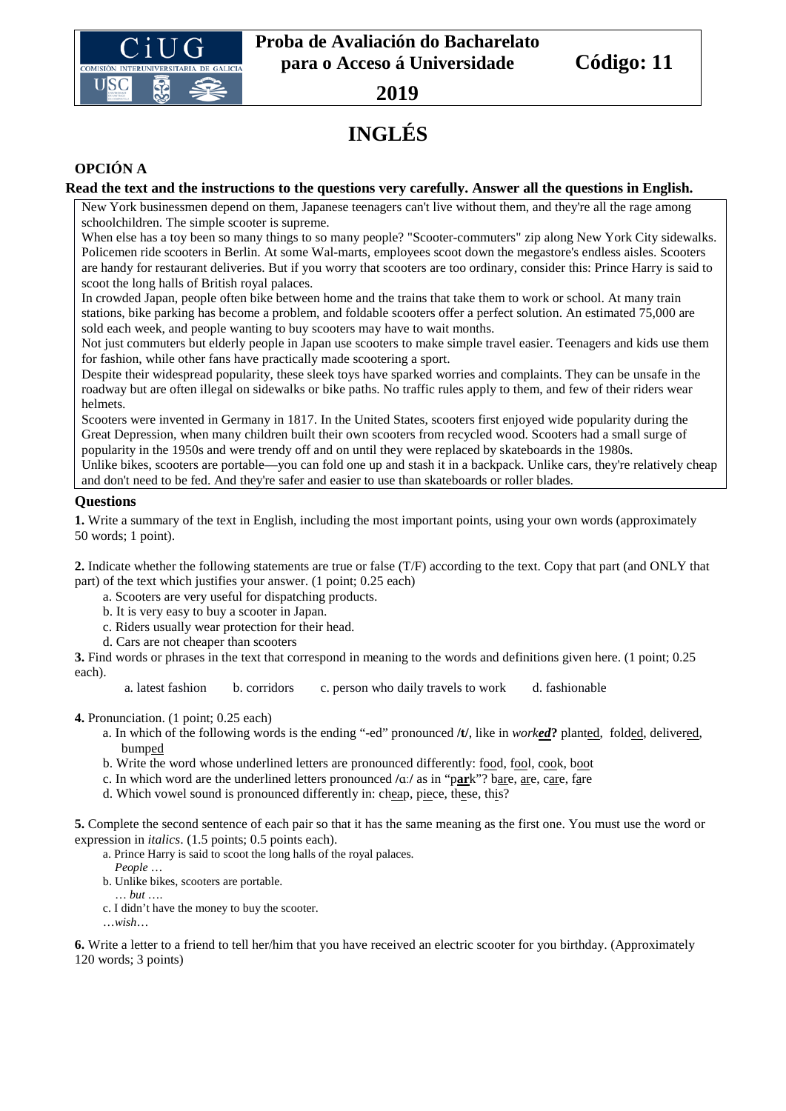

# **INGLÉS**

#### **OPCIÓN A**

#### **Read the text and the instructions to the questions very carefully. Answer all the questions in English.**

New York businessmen depend on them, Japanese teenagers can't live without them, and they're all the rage among schoolchildren. The simple scooter is supreme.

When else has a toy been so many things to so many people? "Scooter-commuters" zip along New York City sidewalks. Policemen ride scooters in Berlin. At some Wal-marts, employees scoot down the megastore's endless aisles. Scooters are handy for restaurant deliveries. But if you worry that scooters are too ordinary, consider this: Prince Harry is said to scoot the long halls of British royal palaces.

In crowded Japan, people often bike between home and the trains that take them to work or school. At many train stations, bike parking has become a problem, and foldable scooters offer a perfect solution. An estimated 75,000 are sold each week, and people wanting to buy scooters may have to wait months.

Not just commuters but elderly people in Japan use scooters to make simple travel easier. Teenagers and kids use them for fashion, while other fans have practically made scootering a sport.

Despite their widespread popularity, these sleek toys have sparked worries and complaints. They can be unsafe in the roadway but are often illegal on sidewalks or bike paths. No traffic rules apply to them, and few of their riders wear helmets.

Scooters were invented in Germany in 1817. In the United States, scooters first enjoyed wide popularity during the Great Depression, when many children built their own scooters from recycled wood. Scooters had a small surge of popularity in the 1950s and were trendy off and on until they were replaced by skateboards in the 1980s.

Unlike bikes, scooters are portable—you can fold one up and stash it in a backpack. Unlike cars, they're relatively cheap and don't need to be fed. And they're safer and easier to use than skateboards or roller blades.

#### **Questions**

**1.** Write a summary of the text in English, including the most important points, using your own words (approximately 50 words; 1 point).

**2.** Indicate whether the following statements are true or false (T/F) according to the text. Copy that part (and ONLY that part) of the text which justifies your answer. (1 point; 0.25 each)

- a. Scooters are very useful for dispatching products.
- b. It is very easy to buy a scooter in Japan.
- c. Riders usually wear protection for their head.
- d. Cars are not cheaper than scooters

**3.** Find words or phrases in the text that correspond in meaning to the words and definitions given here. (1 point; 0.25 each).

a. latest fashion b. corridors c. person who daily travels to work d. fashionable

#### **4.** Pronunciation. (1 point; 0.25 each)

- a. In which of the following words is the ending "-ed" pronounced **/t/**, like in *worked***?** planted, folded, delivered, bumped
- b. Write the word whose underlined letters are pronounced differently: food, fool, cook, boot
- c. In which word are the underlined letters pronounced **/**ɑː**/** as in "p**ar**k"? bare, are, care, fare
- d. Which vowel sound is pronounced differently in: cheap, piece, these, this?

**5.** Complete the second sentence of each pair so that it has the same meaning as the first one. You must use the word or expression in *italics*. (1.5 points; 0.5 points each).

a. Prince Harry is said to scoot the long halls of the royal palaces.

 *People* …

- b. Unlike bikes, scooters are portable.
- … *but* ….
- c. I didn't have the money to buy the scooter. …*wish*…

**6.** Write a letter to a friend to tell her/him that you have received an electric scooter for you birthday. (Approximately 120 words; 3 points)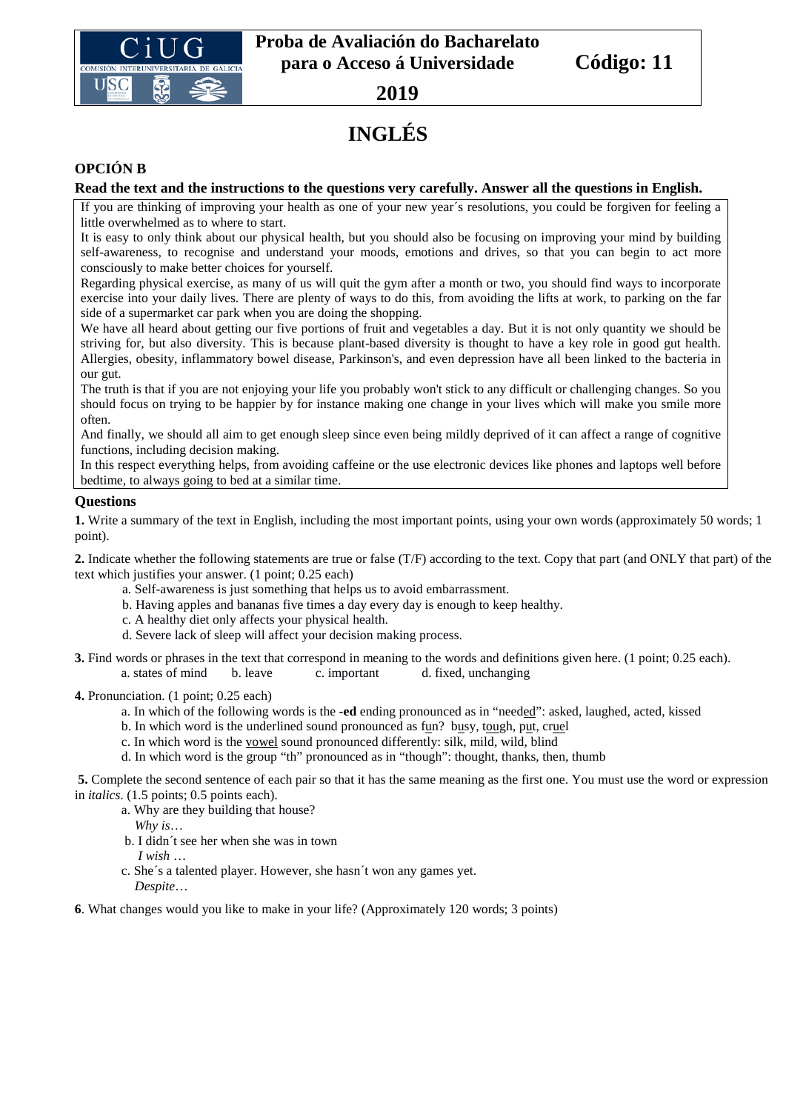

# **INGLÉS**

#### **OPCIÓN B**

**Read the text and the instructions to the questions very carefully. Answer all the questions in English.**

If you are thinking of improving your health as one of your new year´s resolutions, you could be forgiven for feeling a little overwhelmed as to where to start.

It is easy to only think about our physical health, but you should also be focusing on improving your mind by building self-awareness, to recognise and understand your moods, emotions and drives, so that you can begin to act more consciously to make better choices for yourself.

Regarding physical exercise, as many of us will quit the gym after a month or two, you should find ways to incorporate exercise into your daily lives. There are plenty of ways to do this, from avoiding the lifts at work, to parking on the far side of a supermarket car park when you are doing the shopping.

We have all heard about getting our five portions of fruit and vegetables a day. But it is not only quantity we should be striving for, but also diversity. This is because plant-based diversity is thought to have a key role in good gut health. Allergies, obesity, inflammatory bowel disease, Parkinson's, and even depression have all been linked to the bacteria in our gut.

The truth is that if you are not enjoying your life you probably won't stick to any difficult or challenging changes. So you should focus on trying to be happier by for instance making one change in your lives which will make you smile more often.

And finally, we should all aim to get enough sleep since even being mildly deprived of it can affect a range of cognitive functions, including decision making.

In this respect everything helps, from avoiding caffeine or the use electronic devices like phones and laptops well before bedtime, to always going to bed at a similar time.

#### **Questions**

**1.** Write a summary of the text in English, including the most important points, using your own words (approximately 50 words; 1 point).

**2.** Indicate whether the following statements are true or false (T/F) according to the text. Copy that part (and ONLY that part) of the text which justifies your answer. (1 point; 0.25 each)

- a. Self-awareness is just something that helps us to avoid embarrassment.
- b. Having apples and bananas five times a day every day is enough to keep healthy.
- c. A healthy diet only affects your physical health.
- d. Severe lack of sleep will affect your decision making process.

**3.** Find words or phrases in the text that correspond in meaning to the words and definitions given here. (1 point; 0.25 each). a. states of mind b. leave c. important d. fixed, unchanging

**4.** Pronunciation. (1 point; 0.25 each)

- a. In which of the following words is the **-ed** ending pronounced as in "needed": asked, laughed, acted, kissed
- b. In which word is the underlined sound pronounced as fun? busy, tough, put, cruel
- c. In which word is the vowel sound pronounced differently: silk, mild, wild, blind

d. In which word is the group "th" pronounced as in "though": thought, thanks, then, thumb

**5.** Complete the second sentence of each pair so that it has the same meaning as the first one. You must use the word or expression in *italics*. (1.5 points; 0.5 points each).

- a. Why are they building that house?
- *Why is*…
	- b. I didn´t see her when she was in town
		- *I wish* …
	- c. She´s a talented player. However, she hasn´t won any games yet.  *Despite*…

**6**. What changes would you like to make in your life? (Approximately 120 words; 3 points)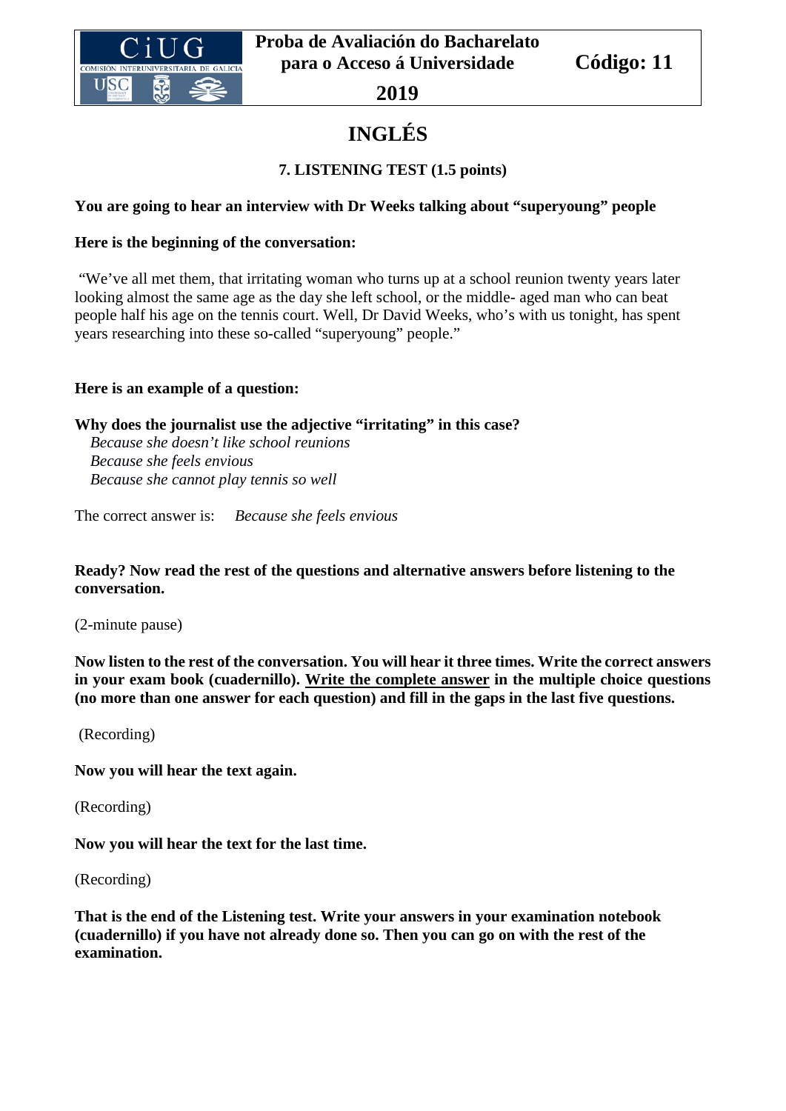

# **INGLÉS**

## **7. LISTENING TEST (1.5 points)**

## **You are going to hear an interview with Dr Weeks talking about "superyoung" people**

## **Here is the beginning of the conversation:**

"We've all met them, that irritating woman who turns up at a school reunion twenty years later looking almost the same age as the day she left school, or the middle- aged man who can beat people half his age on the tennis court. Well, Dr David Weeks, who's with us tonight, has spent years researching into these so-called "superyoung" people."

### **Here is an example of a question:**

### **Why does the journalist use the adjective "irritating" in this case?**

*Because she doesn't like school reunions Because she feels envious Because she cannot play tennis so well*

The correct answer is: *Because she feels envious*

#### **Ready? Now read the rest of the questions and alternative answers before listening to the conversation.**

(2-minute pause)

**Now listen to the rest of the conversation. You will hear it three times. Write the correct answers in your exam book (cuadernillo). Write the complete answer in the multiple choice questions (no more than one answer for each question) and fill in the gaps in the last five questions.**

(Recording)

**Now you will hear the text again.** 

(Recording)

**Now you will hear the text for the last time.** 

(Recording)

**That is the end of the Listening test. Write your answers in your examination notebook (cuadernillo) if you have not already done so. Then you can go on with the rest of the examination.**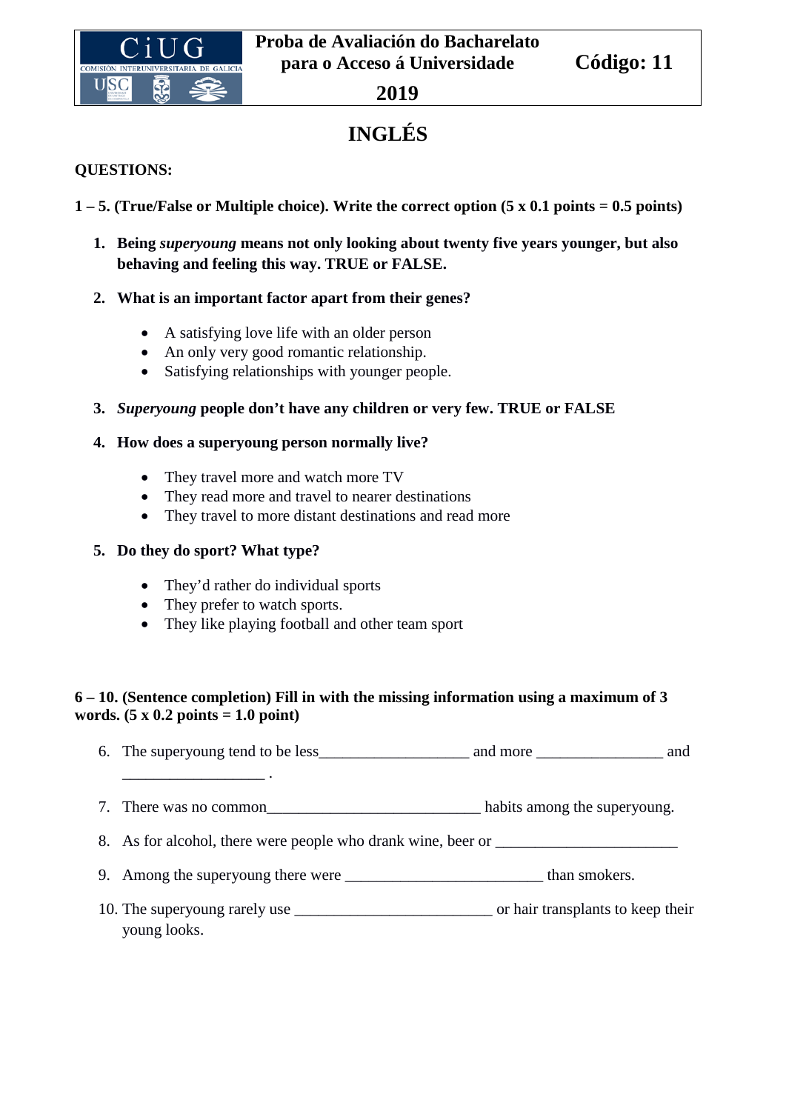

# **INGLÉS**

## **QUESTIONS:**

- **1 – 5. (True/False or Multiple choice). Write the correct option (5 x 0.1 points = 0.5 points)** 
	- **1. Being** *superyoung* **means not only looking about twenty five years younger, but also behaving and feeling this way. TRUE or FALSE.**

## **2. What is an important factor apart from their genes?**

- A satisfying love life with an older person
- An only very good romantic relationship.
- Satisfying relationships with younger people.

## **3.** *Superyoung* **people don't have any children or very few. TRUE or FALSE**

### **4. How does a superyoung person normally live?**

- They travel more and watch more TV
- They read more and travel to nearer destinations
- They travel to more distant destinations and read more

## **5. Do they do sport? What type?**

\_\_\_\_\_\_\_\_\_\_\_\_\_\_\_\_\_\_ .

- They'd rather do individual sports
- They prefer to watch sports.
- They like playing football and other team sport

### **6 – 10. (Sentence completion) Fill in with the missing information using a maximum of 3 words. (5 x 0.2 points = 1.0 point)**

- 6. The superyoung tend to be less\_\_\_\_\_\_\_\_\_\_\_\_\_\_\_\_\_\_\_ and more \_\_\_\_\_\_\_\_\_\_\_\_\_\_\_\_ and
- 7. There was no common\_\_\_\_\_\_\_\_\_\_\_\_\_\_\_\_\_\_\_\_\_\_\_\_\_\_\_ habits among the superyoung.
- 8. As for alcohol, there were people who drank wine, beer or
- 9. Among the superyoung there were the subsets of than smokers.
- 10. The superyoung rarely use \_\_\_\_\_\_\_\_\_\_\_\_\_\_\_\_\_\_\_\_\_\_\_\_\_ or hair transplants to keep their young looks.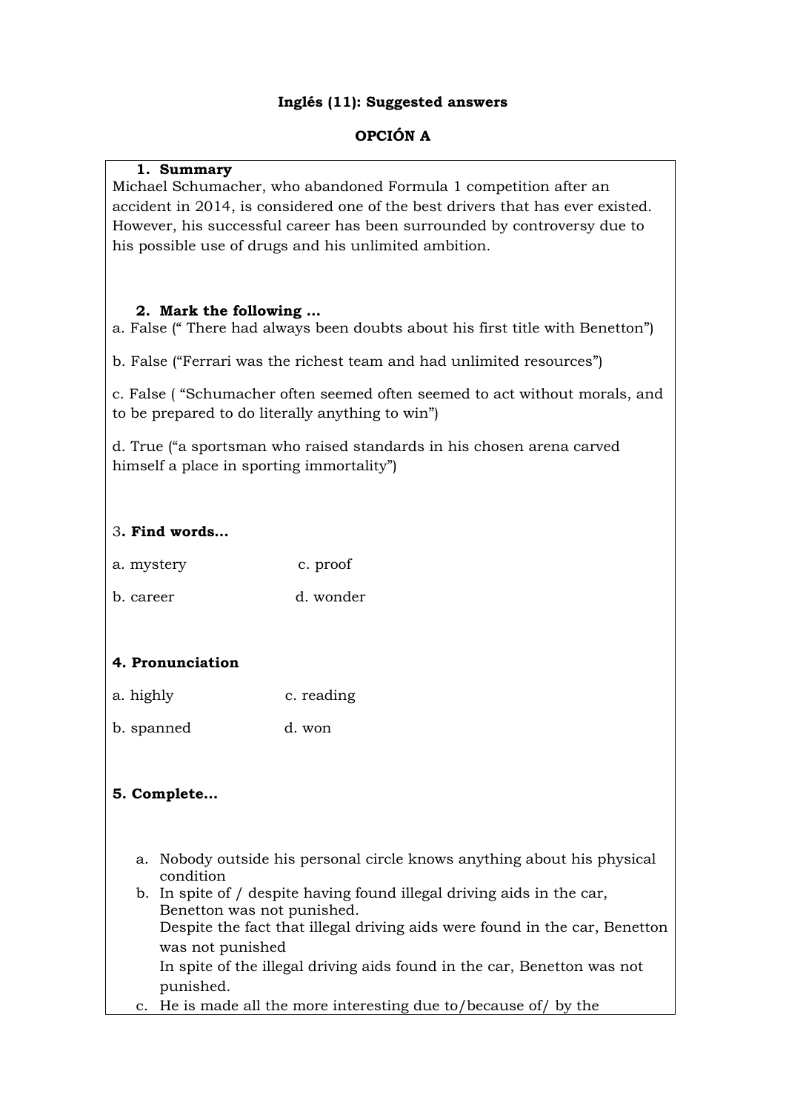#### **Inglés (11): Suggested answers**

## **OPCIÓN A**

#### **1. Summary**

Michael Schumacher, who abandoned Formula 1 competition after an accident in 2014, is considered one of the best drivers that has ever existed. However, his successful career has been surrounded by controversy due to his possible use of drugs and his unlimited ambition.

#### **2. Mark the following …**

a. False (" There had always been doubts about his first title with Benetton")

b. False ("Ferrari was the richest team and had unlimited resources")

c. False ( "Schumacher often seemed often seemed to act without morals, and to be prepared to do literally anything to win")

d. True ("a sportsman who raised standards in his chosen arena carved himself a place in sporting immortality")

#### 3**. Find words…**

|  | a. mystery |  | c. proof |
|--|------------|--|----------|
|--|------------|--|----------|

b. career d. wonder

### **4. Pronunciation**

| a. highly | c. reading |
|-----------|------------|
|           |            |

# b. spanned d. won

### **5. Complete…**

- a. Nobody outside his personal circle knows anything about his physical condition
- b. In spite of / despite having found illegal driving aids in the car, Benetton was not punished. Despite the fact that illegal driving aids were found in the car, Benetton was not punished In spite of the illegal driving aids found in the car, Benetton was not punished.
- c. He is made all the more interesting due to/because of/ by the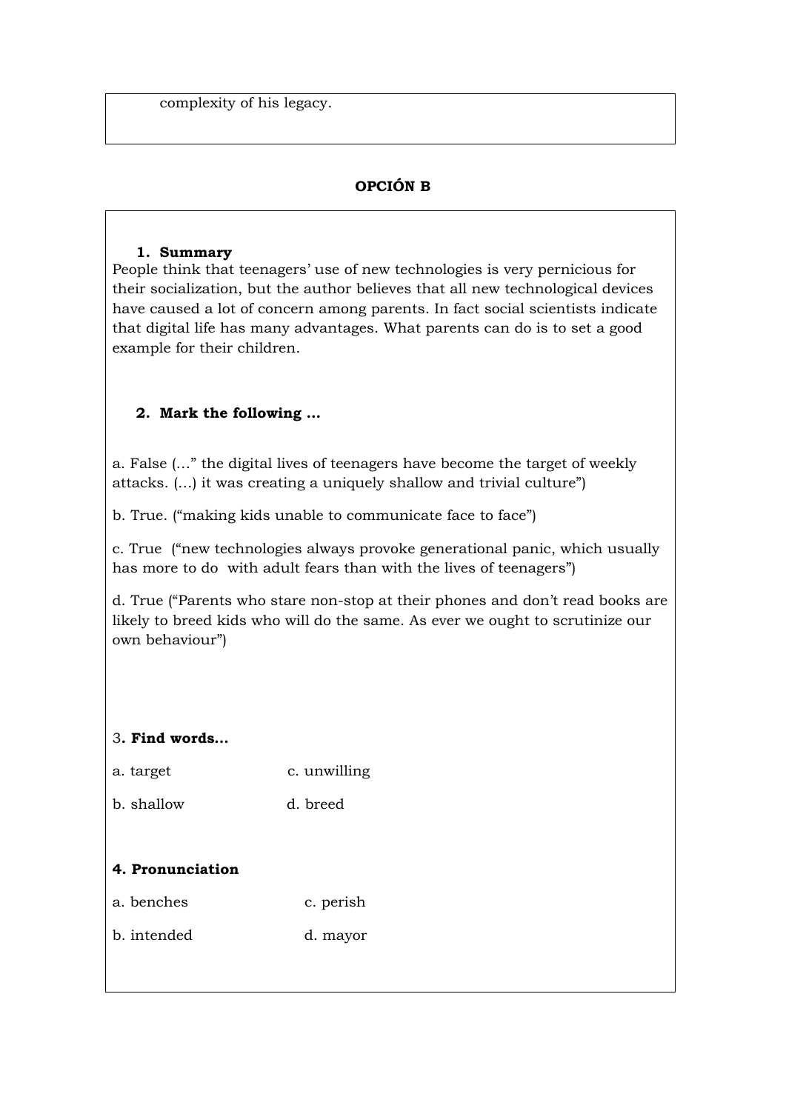complexity of his legacy.

## **OPCIÓN B**

#### **1. Summary**

People think that teenagers' use of new technologies is very pernicious for their socialization, but the author believes that all new technological devices have caused a lot of concern among parents. In fact social scientists indicate that digital life has many advantages. What parents can do is to set a good example for their children.

## **2. Mark the following …**

a. False (…" the digital lives of teenagers have become the target of weekly attacks. (…) it was creating a uniquely shallow and trivial culture")

b. True. ("making kids unable to communicate face to face")

c. True ("new technologies always provoke generational panic, which usually has more to do with adult fears than with the lives of teenagers")

d. True ("Parents who stare non-stop at their phones and don't read books are likely to breed kids who will do the same. As ever we ought to scrutinize our own behaviour")

### 3**. Find words…**

- a. target c. unwilling b. shallow d. breed **4. Pronunciation**  a. benches c. perish
- b. intended d. mayor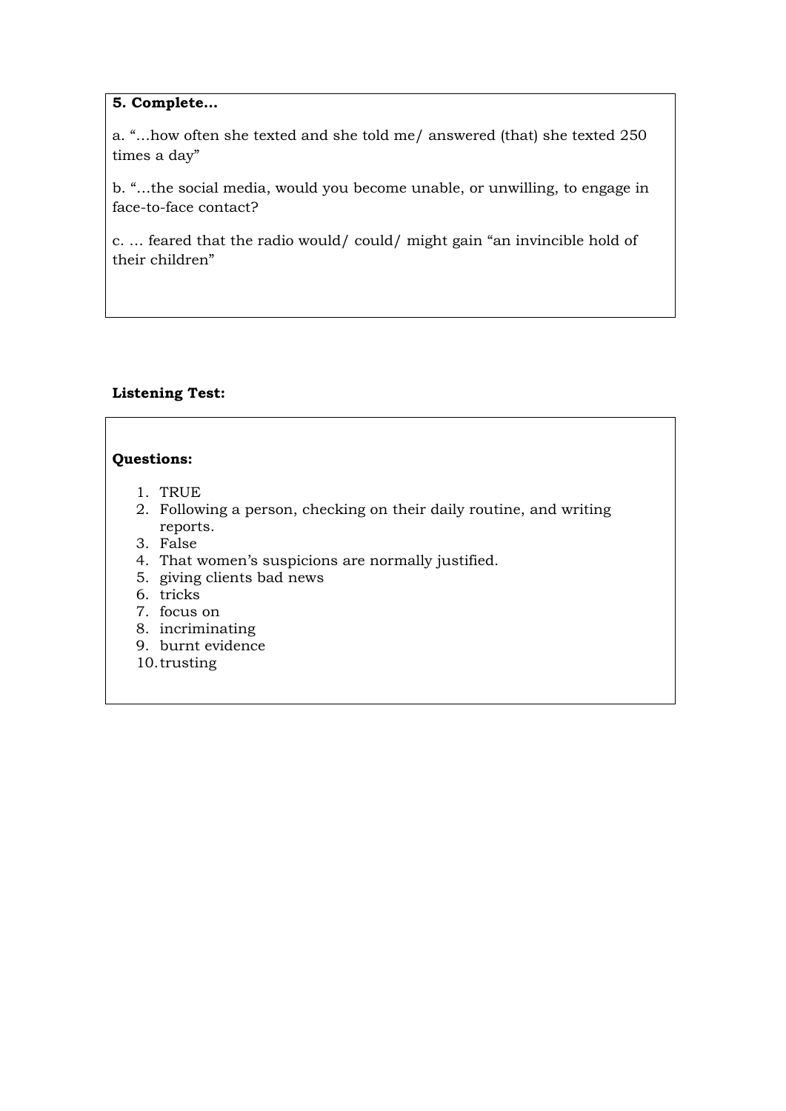#### **5. Complete…**

a. "…how often she texted and she told me/ answered (that) she texted 250 times a day"

b. "…the social media, would you become unable, or unwilling, to engage in face-to-face contact?

c. … feared that the radio would/ could/ might gain "an invincible hold of their children"

## **Listening Test:**

#### **Questions:**

- 1. TRUE
- 2. Following a person, checking on their daily routine, and writing reports.
- 3. False
- 4. That women's suspicions are normally justified.
- 5. giving clients bad news
- 6. tricks
- 7. focus on
- 8. incriminating
- 9. burnt evidence
- 10.trusting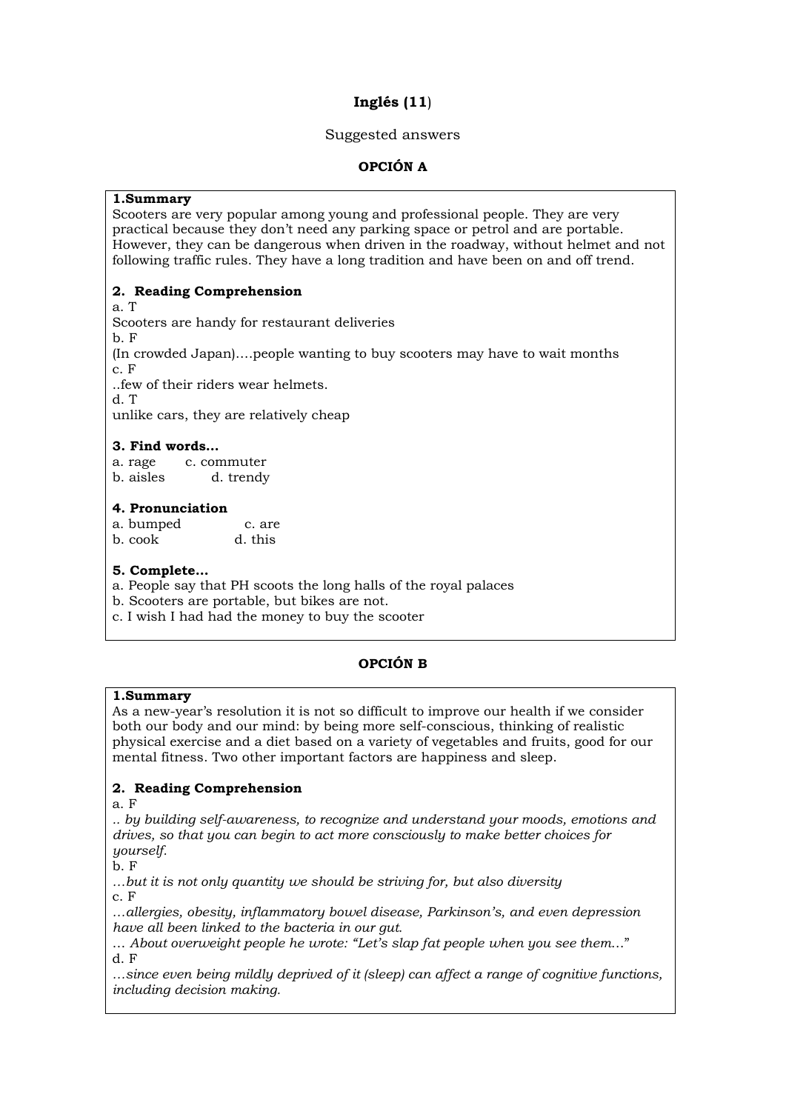## **Inglés (11**)

#### Suggested answers

## **OPCIÓN A**

#### **1.Summary**

Scooters are very popular among young and professional people. They are very practical because they don't need any parking space or petrol and are portable. However, they can be dangerous when driven in the roadway, without helmet and not following traffic rules. They have a long tradition and have been on and off trend.

#### **2. Reading Comprehension**

a. T Scooters are handy for restaurant deliveries

b. F (In crowded Japan)….people wanting to buy scooters may have to wait months c. F

..few of their riders wear helmets.

d. T

unlike cars, they are relatively cheap

#### **3. Find words…**

- a. rage c. commuter
- b. aisles d. trendy

#### **4. Pronunciation**

| a. bumped | c. are  |
|-----------|---------|
| b. cook   | d. this |

#### **5. Complete…**

- a. People say that PH scoots the long halls of the royal palaces
- b. Scooters are portable, but bikes are not.
- c. I wish I had had the money to buy the scooter

### **OPCIÓN B**

#### **1.Summary**

As a new-year's resolution it is not so difficult to improve our health if we consider both our body and our mind: by being more self-conscious, thinking of realistic physical exercise and a diet based on a variety of vegetables and fruits, good for our mental fitness. Two other important factors are happiness and sleep.

#### **2. Reading Comprehension**

a. F

*.. by building self-awareness, to recognize and understand your moods, emotions and drives, so that you can begin to act more consciously to make better choices for yourself.* 

b. F

*…but it is not only quantity we should be striving for, but also diversity* c. F

*…allergies, obesity, inflammatory bowel disease, Parkinson's, and even depression have all been linked to the bacteria in our gut.* 

… *About overweight people he wrote: "Let's slap fat people when you see them*…" d. F

*…since even being mildly deprived of it (sleep) can affect a range of cognitive functions, including decision making.*